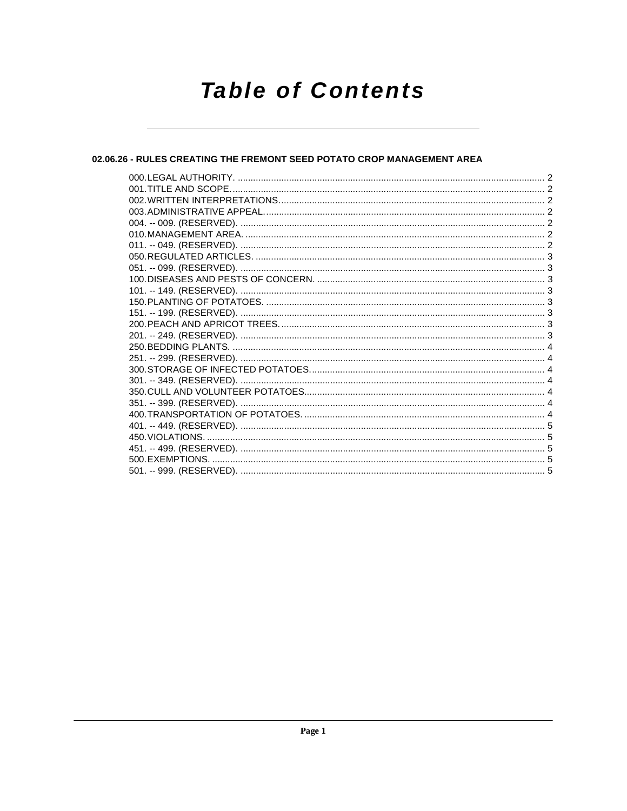# **Table of Contents**

#### 02.06.26 - RULES CREATING THE FREMONT SEED POTATO CROP MANAGEMENT AREA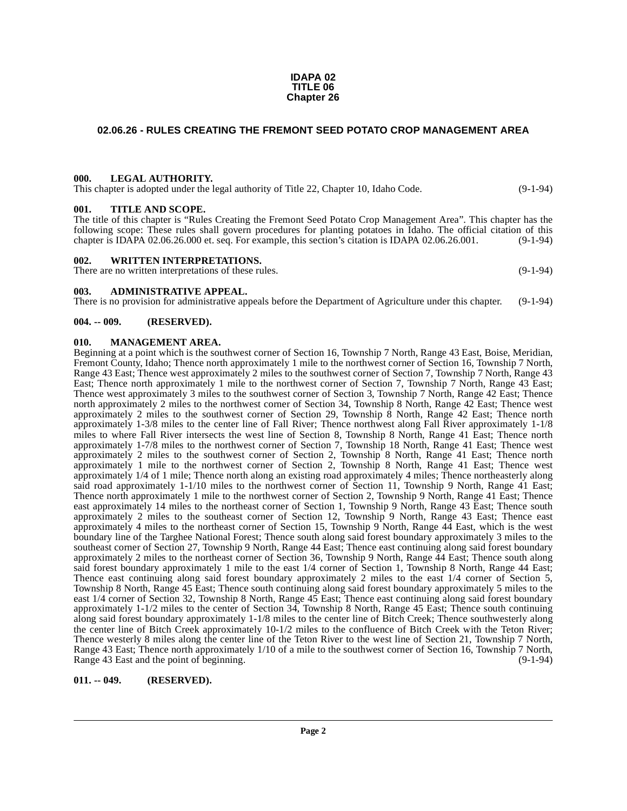#### **IDAPA 02 TITLE 06 Chapter 26**

#### <span id="page-1-0"></span>**02.06.26 - RULES CREATING THE FREMONT SEED POTATO CROP MANAGEMENT AREA**

#### <span id="page-1-1"></span>**000. LEGAL AUTHORITY.**

This chapter is adopted under the legal authority of Title 22, Chapter 10, Idaho Code. (9-1-94)

#### <span id="page-1-2"></span>**001. TITLE AND SCOPE.**

The title of this chapter is "Rules Creating the Fremont Seed Potato Crop Management Area". This chapter has the following scope: These rules shall govern procedures for planting potatoes in Idaho. The official citation of this chapter is IDAPA 02.06.26.000 et. seq. For example, this section's citation is IDAPA 02.06.26.001. (9-1-94) chapter is IDAPA 02.06.26.000 et. seq. For example, this section's citation is IDAPA 02.06.26.001.

#### <span id="page-1-3"></span>**002. WRITTEN INTERPRETATIONS.**

There are no written interpretations of these rules. (9-1-94)

<span id="page-1-4"></span>**003. ADMINISTRATIVE APPEAL.**

There is no provision for administrative appeals before the Department of Agriculture under this chapter. (9-1-94)

#### <span id="page-1-5"></span>**004. -- 009. (RESERVED).**

#### <span id="page-1-8"></span><span id="page-1-6"></span>**010. MANAGEMENT AREA.**

Beginning at a point which is the southwest corner of Section 16, Township 7 North, Range 43 East, Boise, Meridian, Fremont County, Idaho; Thence north approximately 1 mile to the northwest corner of Section 16, Township 7 North, Range 43 East; Thence west approximately 2 miles to the southwest corner of Section 7, Township 7 North, Range 43 East; Thence north approximately 1 mile to the northwest corner of Section 7, Township 7 North, Range 43 East; Thence west approximately 3 miles to the southwest corner of Section 3, Township 7 North, Range 42 East; Thence north approximately 2 miles to the northwest corner of Section 34, Township 8 North, Range 42 East; Thence west approximately 2 miles to the southwest corner of Section 29, Township  $\hat{8}$  North, Range 42 East; Thence north approximately 1-3/8 miles to the center line of Fall River; Thence northwest along Fall River approximately 1-1/8 miles to where Fall River intersects the west line of Section 8, Township 8 North, Range 41 East; Thence north approximately 1-7/8 miles to the northwest corner of Section 7, Township 18 North, Range 41 East; Thence west approximately 2 miles to the southwest corner of Section 2, Township 8 North, Range 41 East; Thence north approximately 1 mile to the northwest corner of Section 2, Township 8 North, Range 41 East; Thence west approximately 1/4 of 1 mile; Thence north along an existing road approximately 4 miles; Thence northeasterly along said road approximately 1-1/10 miles to the northwest corner of Section 11, Township 9 North, Range 41 East; Thence north approximately 1 mile to the northwest corner of Section 2, Township 9 North, Range 41 East; Thence east approximately 14 miles to the northeast corner of Section 1, Township 9 North, Range 43 East; Thence south approximately 2 miles to the southeast corner of Section 12, Township 9 North, Range 43 East; Thence east approximately 4 miles to the northeast corner of Section 15, Township 9 North, Range 44 East, which is the west boundary line of the Targhee National Forest; Thence south along said forest boundary approximately 3 miles to the southeast corner of Section 27, Township 9 North, Range 44 East; Thence east continuing along said forest boundary approximately 2 miles to the northeast corner of Section 36, Township 9 North, Range 44 East; Thence south along said forest boundary approximately 1 mile to the east 1/4 corner of Section 1, Township 8 North, Range 44 East; Thence east continuing along said forest boundary approximately 2 miles to the east 1/4 corner of Section 5, Township 8 North, Range 45 East; Thence south continuing along said forest boundary approximately 5 miles to the east 1/4 corner of Section 32, Township 8 North, Range 45 East; Thence east continuing along said forest boundary approximately 1-1/2 miles to the center of Section 34, Township 8 North, Range 45 East; Thence south continuing along said forest boundary approximately 1-1/8 miles to the center line of Bitch Creek; Thence southwesterly along the center line of Bitch Creek approximately 10-1/2 miles to the confluence of Bitch Creek with the Teton River; Thence westerly 8 miles along the center line of the Teton River to the west line of Section 21, Township 7 North, Range 43 East; Thence north approximately 1/10 of a mile to the southwest corner of Section 16, Township 7 North, Range 43 East and the point of beginning. Range 43 East and the point of beginning.

#### <span id="page-1-7"></span>**011. -- 049. (RESERVED).**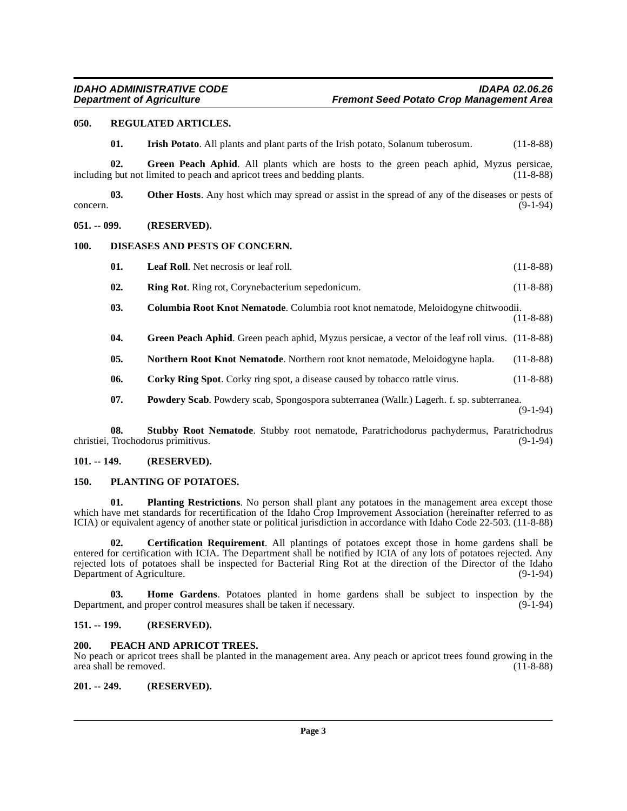#### <span id="page-2-0"></span>**050. REGULATED ARTICLES.**

<span id="page-2-22"></span><span id="page-2-17"></span><span id="page-2-14"></span><span id="page-2-12"></span>**01. Irish Potato**. All plants and plant parts of the Irish potato, Solanum tuberosum. (11-8-88)

**02. Green Peach Aphid**. All plants which are hosts to the green peach aphid, Myzus persicae, g but not limited to peach and apricot trees and bedding plants. (11-8-88) including but not limited to peach and apricot trees and bedding plants.

**03. Other Hosts**. Any host which may spread or assist in the spread of any of the diseases or pests of (9-1-94) concern. (9-1-94)

#### <span id="page-2-1"></span>**051. -- 099. (RESERVED).**

#### <span id="page-2-2"></span>**100. DISEASES AND PESTS OF CONCERN.**

- <span id="page-2-15"></span><span id="page-2-11"></span>**01.** Leaf Roll. Net necrosis or leaf roll. (11-8-88)
- <span id="page-2-23"></span>**02. Ring Rot**. Ring rot, Corynebacterium sepedonicum. (11-8-88)
- <span id="page-2-9"></span>**03. Columbia Root Knot Nematode**. Columbia root knot nematode, Meloidogyne chitwoodii. (11-8-88)
- **04. Green Peach Aphid**. Green peach aphid, Myzus persicae, a vector of the leaf roll virus. (11-8-88)
- <span id="page-2-16"></span>**05. Northern Root Knot Nematode**. Northern root knot nematode, Meloidogyne hapla. (11-8-88)
- <span id="page-2-10"></span>**06.** Corky Ring Spot. Corky ring spot, a disease caused by tobacco rattle virus. (11-8-88)
- <span id="page-2-24"></span><span id="page-2-21"></span>**07. Powdery Scab**. Powdery scab, Spongospora subterranea (Wallr.) Lagerh. f. sp. subterranea. (9-1-94)

**08. Stubby Root Nematode**. Stubby root nematode, Paratrichodorus pachydermus, Paratrichodrus christiei, Trochodorus primitivus. (9-1-94)

#### <span id="page-2-3"></span>**101. -- 149. (RESERVED).**

#### <span id="page-2-19"></span><span id="page-2-4"></span>**150. PLANTING OF POTATOES.**

<span id="page-2-20"></span>**01.** Planting Restrictions. No person shall plant any potatoes in the management area except those which have met standards for recertification of the Idaho Crop Improvement Association (hereinafter referred to as ICIA) or equivalent agency of another state or political jurisdiction in accordance with Idaho Code 22-503. (11-8-88)

<span id="page-2-8"></span>**02. Certification Requirement**. All plantings of potatoes except those in home gardens shall be entered for certification with ICIA. The Department shall be notified by ICIA of any lots of potatoes rejected. Any rejected lots of potatoes shall be inspected for Bacterial Ring Rot at the direction of the Director of the Idaho<br>Department of Agriculture. (9-1-94) Department of Agriculture.

<span id="page-2-13"></span>**03. Home Gardens**. Potatoes planted in home gardens shall be subject to inspection by the Department, and proper control measures shall be taken if necessary. (9-1-94)

#### <span id="page-2-5"></span>**151. -- 199. (RESERVED).**

#### <span id="page-2-18"></span><span id="page-2-6"></span>**200. PEACH AND APRICOT TREES.**

No peach or apricot trees shall be planted in the management area. Any peach or apricot trees found growing in the area shall be removed. (11-8-88) area shall be removed.

<span id="page-2-7"></span>**201. -- 249. (RESERVED).**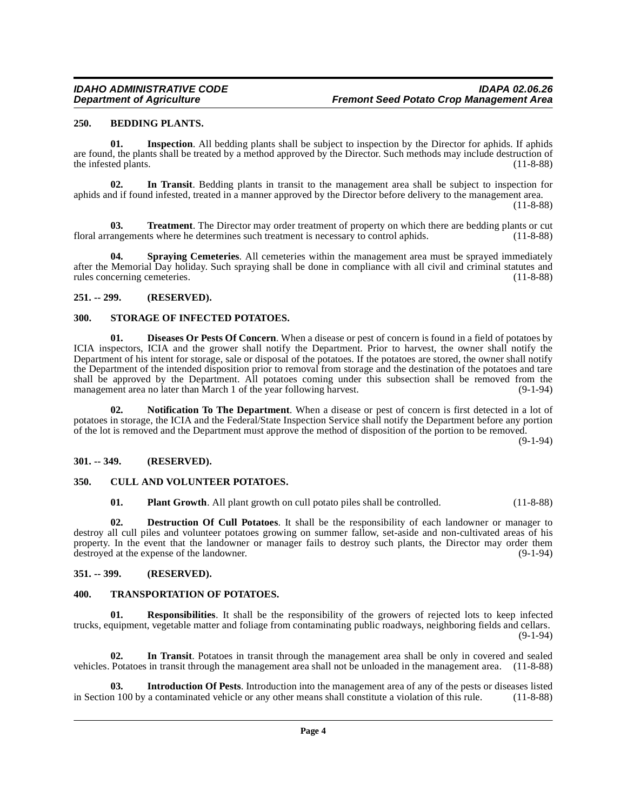#### <span id="page-3-7"></span><span id="page-3-0"></span>**250. BEDDING PLANTS.**

<span id="page-3-13"></span>**01. Inspection**. All bedding plants shall be subject to inspection by the Director for aphids. If aphids are found, the plants shall be treated by a method approved by the Director. Such methods may include destruction of the infested plants. (11-8-88)

<span id="page-3-11"></span>**02. In Transit**. Bedding plants in transit to the management area shall be subject to inspection for aphids and if found infested, treated in a manner approved by the Director before delivery to the management area.

(11-8-88)

<span id="page-3-21"></span>**03. Treatment**. The Director may order treatment of property on which there are bedding plants or cut angements where he determines such treatment is necessary to control aphids. (11-8-88) floral arrangements where he determines such treatment is necessary to control aphids.

<span id="page-3-18"></span>**04.** Spraying Cemeteries. All cemeteries within the management area must be sprayed immediately after the Memorial Day holiday. Such spraying shall be done in compliance with all civil and criminal statutes and rules concerning cemeteries. (11-8-88) rules concerning cemeteries.

#### <span id="page-3-1"></span>**251. -- 299. (RESERVED).**

#### <span id="page-3-19"></span><span id="page-3-2"></span>**300. STORAGE OF INFECTED POTATOES.**

<span id="page-3-10"></span>**01. Diseases Or Pests Of Concern**. When a disease or pest of concern is found in a field of potatoes by ICIA inspectors, ICIA and the grower shall notify the Department. Prior to harvest, the owner shall notify the Department of his intent for storage, sale or disposal of the potatoes. If the potatoes are stored, the owner shall notify the Department of the intended disposition prior to removal from storage and the destination of the potatoes and tare shall be approved by the Department. All potatoes coming under this subsection shall be removed from the management area no later than March 1 of the year following harvest. (9-1-94) management area no later than March 1 of the year following harvest.

<span id="page-3-15"></span>**02. Notification To The Department**. When a disease or pest of concern is first detected in a lot of potatoes in storage, the ICIA and the Federal/State Inspection Service shall notify the Department before any portion of the lot is removed and the Department must approve the method of disposition of the portion to be removed.

(9-1-94)

#### <span id="page-3-3"></span>**301. -- 349. (RESERVED).**

#### <span id="page-3-4"></span>**350. CULL AND VOLUNTEER POTATOES.**

<span id="page-3-16"></span><span id="page-3-9"></span><span id="page-3-8"></span>**01. Plant Growth**. All plant growth on cull potato piles shall be controlled. (11-8-88)

**02. Destruction Of Cull Potatoes**. It shall be the responsibility of each landowner or manager to destroy all cull piles and volunteer potatoes growing on summer fallow, set-aside and non-cultivated areas of his property. In the event that the landowner or manager fails to destroy such plants, the Director may order them destroyed at the expense of the landowner. (9-1-94)

#### <span id="page-3-5"></span>**351. -- 399. (RESERVED).**

#### <span id="page-3-20"></span><span id="page-3-6"></span>**400. TRANSPORTATION OF POTATOES.**

<span id="page-3-17"></span>**01. Responsibilities**. It shall be the responsibility of the growers of rejected lots to keep infected trucks, equipment, vegetable matter and foliage from contaminating public roadways, neighboring fields and cellars. (9-1-94)

<span id="page-3-12"></span>**02. In Transit**. Potatoes in transit through the management area shall be only in covered and sealed vehicles. Potatoes in transit through the management area shall not be unloaded in the management area. (11-8-88)

<span id="page-3-14"></span>**Introduction Of Pests**. Introduction into the management area of any of the pests or diseases listed a contaminated vehicle or any other means shall constitute a violation of this rule. (11-8-88) in Section 100 by a contaminated vehicle or any other means shall constitute a violation of this rule.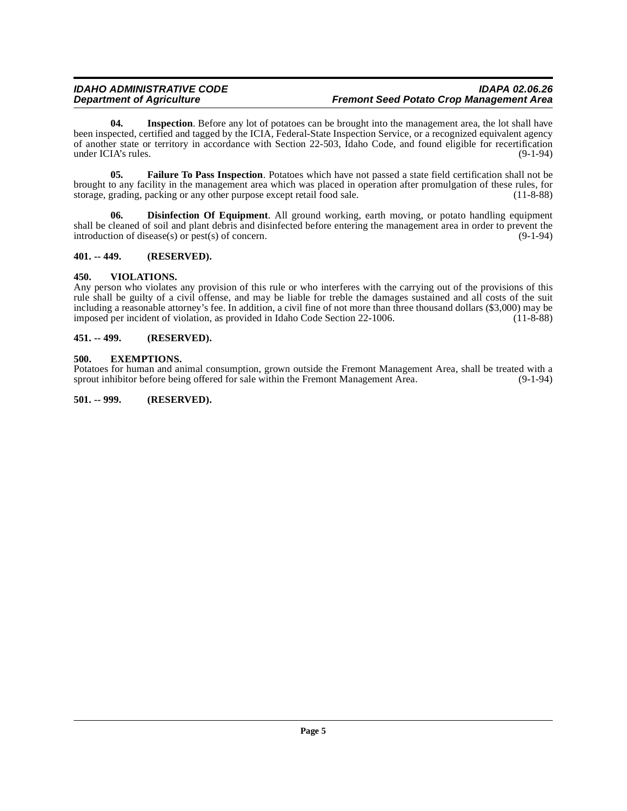#### **IDAHO ADMINISTRATIVE CODE**<br>Department of Agriculture in the intervals of the search of Agriculture in the search of the search of the sea **Fremont Seed Potato Crop Management Area**

<span id="page-4-8"></span>**04. Inspection**. Before any lot of potatoes can be brought into the management area, the lot shall have been inspected, certified and tagged by the ICIA, Federal-State Inspection Service, or a recognized equivalent agency of another state or territory in accordance with Section 22-503, Idaho Code, and found eligible for recertification under ICIA's rules.

<span id="page-4-7"></span>**05. Failure To Pass Inspection**. Potatoes which have not passed a state field certification shall not be brought to any facility in the management area which was placed in operation after promulgation of these rules, for storage, grading, packing or any other purpose except retail food sale. (11-8-88)

<span id="page-4-5"></span>**06. Disinfection Of Equipment**. All ground working, earth moving, or potato handling equipment shall be cleaned of soil and plant debris and disinfected before entering the management area in order to prevent the introduction of disease(s) or pest(s) of concern. introduction of disease(s) or  $pest(s)$  of concern.

#### <span id="page-4-0"></span>**401. -- 449. (RESERVED).**

#### <span id="page-4-9"></span><span id="page-4-1"></span>**450. VIOLATIONS.**

Any person who violates any provision of this rule or who interferes with the carrying out of the provisions of this rule shall be guilty of a civil offense, and may be liable for treble the damages sustained and all costs of the suit including a reasonable attorney's fee. In addition, a civil fine of not more than three thousand dollars (\$3,000) may be imposed per incident of violation, as provided in Idaho Code Section 22-1006. (11-8-88)

#### <span id="page-4-2"></span>**451. -- 499. (RESERVED).**

#### <span id="page-4-6"></span><span id="page-4-3"></span>**500. EXEMPTIONS.**

Potatoes for human and animal consumption, grown outside the Fremont Management Area, shall be treated with a sprout inhibitor before being offered for sale within the Fremont Management Area.

<span id="page-4-4"></span>**501. -- 999. (RESERVED).**